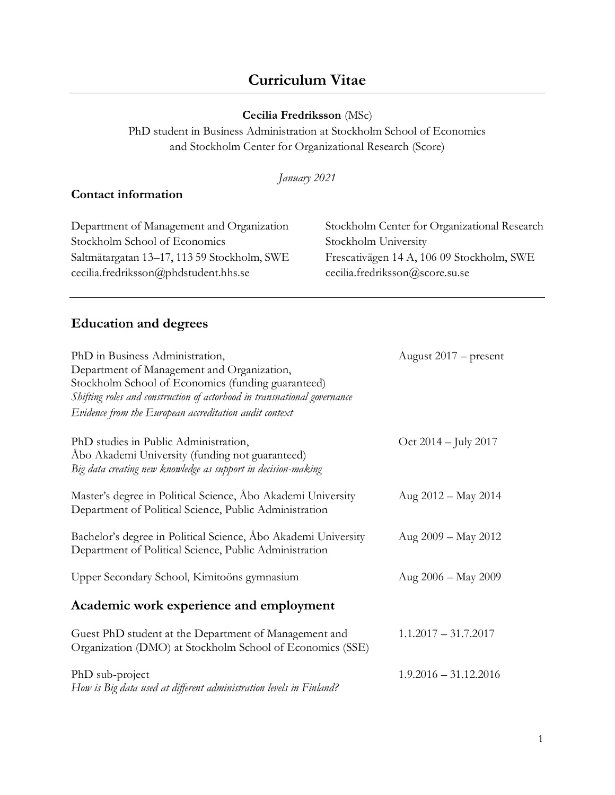# **Curriculum Vitae**

#### **Cecilia Fredriksson** (MSc)

PhD student in Business Administration at Stockholm School of Economics and Stockholm Center for Organizational Research (Score)

*January 2021*

## **Contact information**

| Department of Management and Organization   |
|---------------------------------------------|
| Stockholm School of Economics               |
| Saltmätargatan 13–17, 113 59 Stockholm, SWE |
| cecilia.fredriksson@phdstudent.hhs.se       |

Stockholm Center for Organizational Research Stockholm University Frescativägen 14 A, 106 09 Stockholm, SWE cecilia.fredriksson@score.su.se

# **Education and degrees**

| PhD in Business Administration,<br>Department of Management and Organization,<br>Stockholm School of Economics (funding guaranteed)<br>Shifting roles and construction of actorhood in transnational governance<br>Evidence from the European accreditation audit context | August 2017 – present    |
|---------------------------------------------------------------------------------------------------------------------------------------------------------------------------------------------------------------------------------------------------------------------------|--------------------------|
| PhD studies in Public Administration,<br>Åbo Akademi University (funding not guaranteed)<br>Big data creating new knowledge as support in decision-making                                                                                                                 | Oct $2014 -$ July $2017$ |
| Master's degree in Political Science, Abo Akademi University<br>Department of Political Science, Public Administration                                                                                                                                                    | Aug $2012 -$ May 2014    |
| Bachelor's degree in Political Science, Abo Akademi University<br>Department of Political Science, Public Administration                                                                                                                                                  | Aug $2009 - May 2012$    |
| Upper Secondary School, Kimitoöns gymnasium                                                                                                                                                                                                                               | Aug 2006 - May 2009      |
| Academic work experience and employment                                                                                                                                                                                                                                   |                          |
| Guest PhD student at the Department of Management and<br>Organization (DMO) at Stockholm School of Economics (SSE)                                                                                                                                                        | $1.1.2017 - 31.7.2017$   |
| PhD sub-project<br>How is Big data used at different administration levels in Finland?                                                                                                                                                                                    | $1.9.2016 - 31.12.2016$  |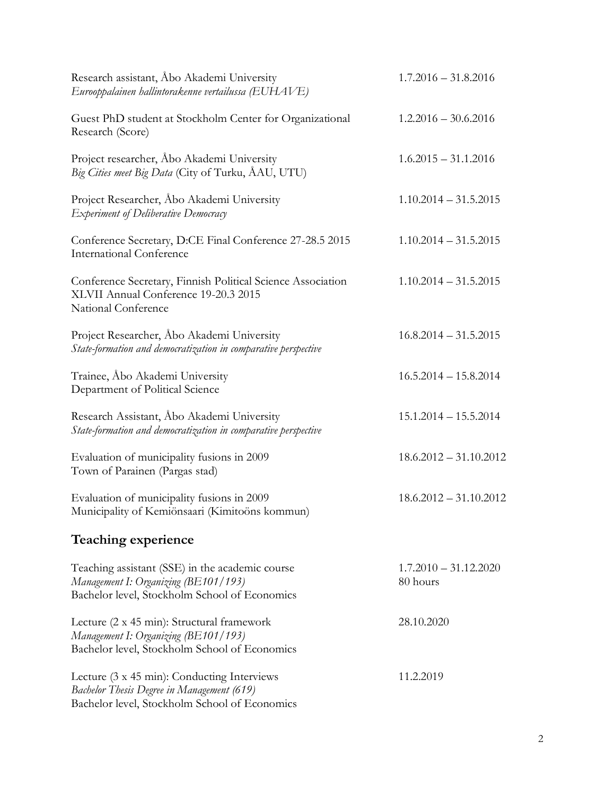| Research assistant, Abo Akademi University<br>Eurooppalainen hallintorakenne vertailussa (EUHAVE)                                          | $1.7.2016 - 31.8.2016$              |
|--------------------------------------------------------------------------------------------------------------------------------------------|-------------------------------------|
| Guest PhD student at Stockholm Center for Organizational<br>Research (Score)                                                               | $1.2.2016 - 30.6.2016$              |
| Project researcher, Abo Akademi University<br>Big Cities meet Big Data (City of Turku, ÅAU, UTU)                                           | $1.6.2015 - 31.1.2016$              |
| Project Researcher, Åbo Akademi University<br>Experiment of Deliberative Democracy                                                         | $1.10.2014 - 31.5.2015$             |
| Conference Secretary, D:CE Final Conference 27-28.5 2015<br><b>International Conference</b>                                                | $1.10.2014 - 31.5.2015$             |
| Conference Secretary, Finnish Political Science Association<br>XLVII Annual Conference 19-20.3 2015<br>National Conference                 | $1.10.2014 - 31.5.2015$             |
| Project Researcher, Åbo Akademi University<br>State-formation and democratization in comparative perspective                               | $16.8.2014 - 31.5.2015$             |
| Trainee, Åbo Akademi University<br>Department of Political Science                                                                         | $16.5.2014 - 15.8.2014$             |
| Research Assistant, Åbo Akademi University<br>State-formation and democratization in comparative perspective                               | $15.1.2014 - 15.5.2014$             |
| Evaluation of municipality fusions in 2009<br>Town of Parainen (Pargas stad)                                                               | $18.6.2012 - 31.10.2012$            |
| Evaluation of municipality fusions in 2009<br>Municipality of Kemiönsaari (Kimitoöns kommun)                                               | $18.6.2012 - 31.10.2012$            |
| <b>Teaching experience</b>                                                                                                                 |                                     |
| Teaching assistant (SSE) in the academic course<br>Management I: Organizing (BE101/193)<br>Bachelor level, Stockholm School of Economics   | $1.7.2010 - 31.12.2020$<br>80 hours |
| Lecture (2 x 45 min): Structural framework<br>Management I: Organizing (BE101/193)<br>Bachelor level, Stockholm School of Economics        | 28.10.2020                          |
| Lecture (3 x 45 min): Conducting Interviews<br>Bachelor Thesis Degree in Management (619)<br>Bachelor level, Stockholm School of Economics | 11.2.2019                           |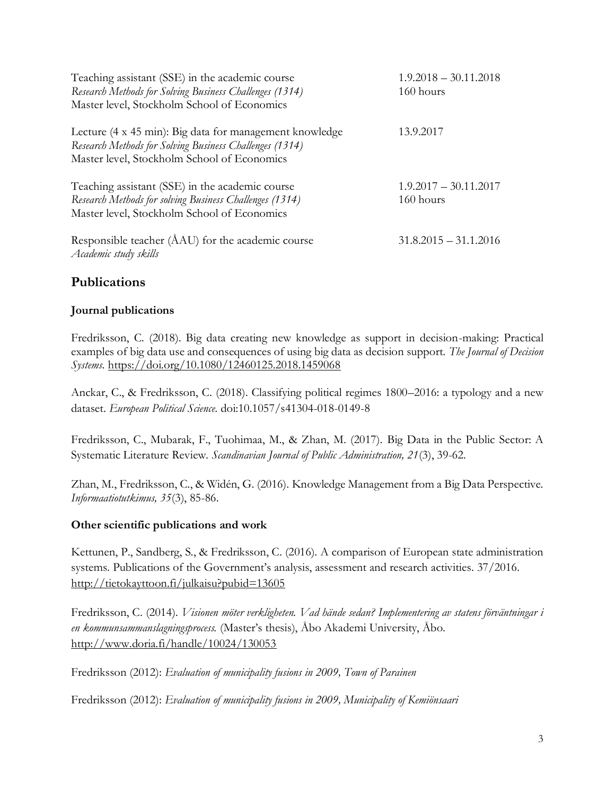| Teaching assistant (SSE) in the academic course<br>Research Methods for Solving Business Challenges (1314)<br>Master level, Stockholm School of Economics         | $1.9.2018 - 30.11.2018$<br>160 hours |
|-------------------------------------------------------------------------------------------------------------------------------------------------------------------|--------------------------------------|
| Lecture (4 x 45 min): Big data for management knowledge<br>Research Methods for Solving Business Challenges (1314)<br>Master level, Stockholm School of Economics | 13.9.2017                            |
| Teaching assistant (SSE) in the academic course<br>Research Methods for solving Business Challenges (1314)<br>Master level, Stockholm School of Economics         | $1.9.2017 - 30.11.2017$<br>160 hours |
| Responsible teacher (AAU) for the academic course<br>Academic study skills                                                                                        | $31.8.2015 - 31.1.2016$              |

# **Publications**

#### **Journal publications**

Fredriksson, C. (2018). Big data creating new knowledge as support in decision-making: Practical examples of big data use and consequences of using big data as decision support. *The Journal of Decision Systems.* <https://doi.org/10.1080/12460125.2018.1459068>

Anckar, C., & Fredriksson, C. (2018). Classifying political regimes 1800–2016: a typology and a new dataset. *European Political Science*. doi:10.1057/s41304-018-0149-8

Fredriksson, C., Mubarak, F., Tuohimaa, M., & Zhan, M. (2017). Big Data in the Public Sector: A Systematic Literature Review. *Scandinavian Journal of Public Administration, 21*(3), 39-62.

Zhan, M., Fredriksson, C., & Widén, G. (2016). Knowledge Management from a Big Data Perspective. *Informaatiotutkimus, 35*(3), 85-86.

#### **Other scientific publications and work**

Kettunen, P., Sandberg, S., & Fredriksson, C. (2016). A comparison of European state administration systems. Publications of the Government's analysis, assessment and research activities. 37/2016. <http://tietokayttoon.fi/julkaisu?pubid=13605>

Fredriksson, C. (2014). *Visionen möter verkligheten. Vad hände sedan? Implementering av statens förväntningar i en kommunsammanslagningsprocess.* (Master's thesis), Åbo Akademi University, Åbo. <http://www.doria.fi/handle/10024/130053>

Fredriksson (2012): *Evaluation of municipality fusions in 2009, Town of Parainen*

Fredriksson (2012): *Evaluation of municipality fusions in 2009, Municipality of Kemiönsaari*